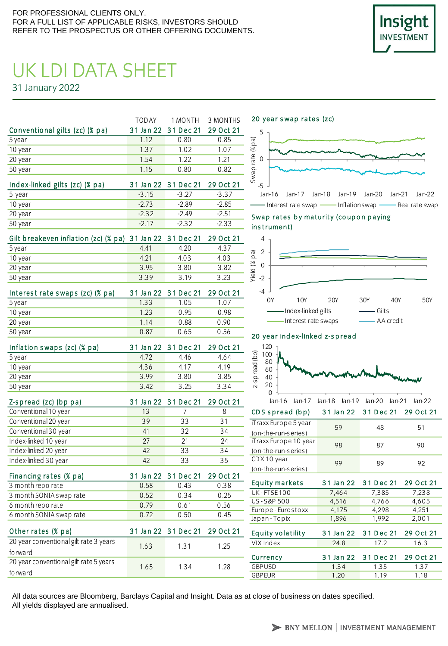# Insight **INVESTMENT**

# UK LDI DATA SHEET

31 January 2022

|                                | <b>TODAY</b> |                               | 1 MONTH 3 MONTHS |
|--------------------------------|--------------|-------------------------------|------------------|
| Conventional gilts (zc) (% pa) |              | 31 Jan 22 31 Dec 21 29 Oct 21 |                  |
| 5 year                         | 1 1 2        | 0.80                          | 0.85             |
| 10 year                        | 1.37         | 102                           | 1.07             |
| 20 year                        | 1.54         | 1 22                          | 1 21             |
| 50 year                        | 1 1 5        | 0.80                          | 0.82             |

| Index-linked gilts (zc) (% pa) |        | 31 Jan 22 31 Dec 21 29 Oct 21 |         |
|--------------------------------|--------|-------------------------------|---------|
| 5 year                         | $-315$ | $-3,27$                       | $-3.37$ |
| 10 year                        | $-273$ | $-289$                        | $-2.85$ |
| 20 year                        | $-232$ | $-249$                        | $-2.51$ |
| 50 year                        | $-217$ | -232                          | $-2.33$ |

| Gilt breakeven inflation (zc) (% pa) 31 Jan 22 31 Dec 21 29 Oct 21 |       |       |      |
|--------------------------------------------------------------------|-------|-------|------|
| 5 year                                                             | 441   | 4.20  | 437  |
| 10 year                                                            | 4 2 1 | 4 0 3 | 4.03 |
| 20 year                                                            | 395   | 3.80  | 3.82 |
| 50 year                                                            | 339   | 3 1 9 | 3.23 |

| Interest rate swaps (zc) (% pa) |       | 31 Jan 22 31 Dec 21 29 Oct 21 |       |
|---------------------------------|-------|-------------------------------|-------|
| 5 year                          | 1.33  | 105                           | 1 N 7 |
| 10 year                         | 1 23  | 095                           | O 98  |
| 20 year                         | 1 1 4 | 0.88                          | 0.90  |
| 50 year                         | 0.87  | 0.65                          | 0.56  |

| Inflation swaps (zc) (% pa) |      | 31 Jan 22 31 Dec 21 29 Oct 21 |       |
|-----------------------------|------|-------------------------------|-------|
| 5 year                      | 4.72 | 446                           | 464   |
| 10 year                     | 436  | 4 1 7                         | 4 1 9 |
| 20 year                     | 399  | 3.80                          | 3.85  |
| 50 year                     | 3.42 | 3.25                          | 3.34  |

| Z-spread (zc) (bp pa) |    | 31 Jan 22 31 Dec 21 29 Oct 21 |    |
|-----------------------|----|-------------------------------|----|
| Conventional 10 year  | 13 |                               |    |
| Conventional 20 year  | 39 | 33                            | 31 |
| Conventional 30 year  | 41 | 32                            | 34 |
| Index-linked 10 year  | 27 | 21                            | 24 |
| Index-linked 20 year  | 42 | 33                            | 34 |
| Index-linked 30 year  | 42 | 33                            | 35 |

| Financing rates (% pa)  |      | 31 Jan 22 31 Dec 21 29 Oct 21 |      |
|-------------------------|------|-------------------------------|------|
| 3 month reporate        | 0.58 | 0.43                          | 0.38 |
| 3 month SONIA swap rate | 0.52 | 0.34                          | 0.25 |
| 6 month reporate        | 0.79 | 0.61                          | 0.56 |
| 6 month SONIA swap rate | 0.72 | 0.50                          | 0.45 |

| o montri SONIA swap rate               | U.72 | U.SU                          | U.45 | Japan - To    |
|----------------------------------------|------|-------------------------------|------|---------------|
| Other rates (% pa)                     |      | 31 Jan 22 31 Dec 21 29 Oct 21 |      | Equity v      |
| 20 year conventional gilt rate 3 years | 1.63 | 131                           | 1 25 | VIX Index     |
| forward                                |      |                               |      |               |
| 20 year conventional gilt rate 5 years |      |                               |      | Currenc       |
|                                        | 1.65 | 134                           | 1.28 | <b>GBPUSD</b> |
| forward                                |      |                               |      | GRPFUR        |

20 year swap rates (zc)



- Interest rate swap - Inflation swap - Real rate swap

#### Swap rates by maturity (coupon paying ins trument)



#### 20 year ind ex-linked z-spread



| lan-16 lan-17 lan-18 lan-19 lan-20 lan-21 lan-22 |    |                               |    |
|--------------------------------------------------|----|-------------------------------|----|
| CDS spread (bp)                                  |    | 31 Jan 22 31 Dec 21 29 Oct 21 |    |
| iTraxx Europe 5 year                             | 59 | 48                            | 51 |
| (on-the-run-series)                              |    |                               |    |
| iTraxx Europe 10 year                            | 98 | 87                            | 90 |
| (on-the-run-series)                              |    |                               |    |
| CDX 10 year                                      | 99 | 89                            | 92 |
| (on-the-run-series)                              |    |                               |    |
|                                                  |    |                               |    |

| <b>Equity markets</b> | 31 Jan 22 | 31 Dec 21                     | 29 Oct 21 |
|-----------------------|-----------|-------------------------------|-----------|
| <b>UK-FTSE100</b>     | 7,464     | 7,385                         | 7,238     |
| <b>US-S&amp;P 500</b> | 4,516     | 4,766                         | 4,605     |
| Europe - Eurostoxx    | 4,175     | 4,298                         | 4,251     |
| Japan - Topix         | 1,896     | 1,992                         | 2,001     |
|                       |           |                               |           |
| Equity volatility     |           | 31 Jan 22 31 Dec 21 29 Oct 21 |           |
| VIX Index             | 24.8      | 17.2                          | 16.3      |
| Currency              | 31 Jan 22 | 31 Dec 21                     | 29 Oct 21 |
| <b>GBPUSD</b>         | 1.34      | 1.35                          | 1.37      |

All data sources are Bloomberg, Barclays Capital and Insight. Data as at close of business on dates specified. All yields displayed are annualised.